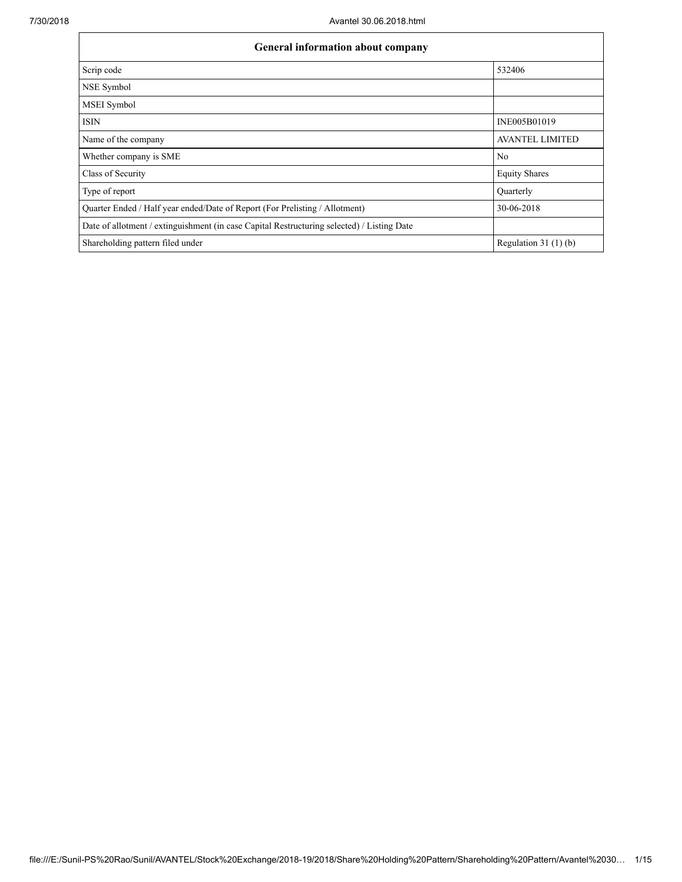| General information about company                                                          |                        |  |  |  |  |  |
|--------------------------------------------------------------------------------------------|------------------------|--|--|--|--|--|
| Scrip code                                                                                 | 532406                 |  |  |  |  |  |
| NSE Symbol                                                                                 |                        |  |  |  |  |  |
| MSEI Symbol                                                                                |                        |  |  |  |  |  |
| <b>ISIN</b>                                                                                | INE005B01019           |  |  |  |  |  |
| Name of the company                                                                        | <b>AVANTEL LIMITED</b> |  |  |  |  |  |
| Whether company is SME                                                                     | No                     |  |  |  |  |  |
| Class of Security                                                                          | <b>Equity Shares</b>   |  |  |  |  |  |
| Type of report                                                                             | Quarterly              |  |  |  |  |  |
| Quarter Ended / Half year ended/Date of Report (For Prelisting / Allotment)                | 30-06-2018             |  |  |  |  |  |
| Date of allotment / extinguishment (in case Capital Restructuring selected) / Listing Date |                        |  |  |  |  |  |
| Shareholding pattern filed under                                                           | Regulation $31(1)(b)$  |  |  |  |  |  |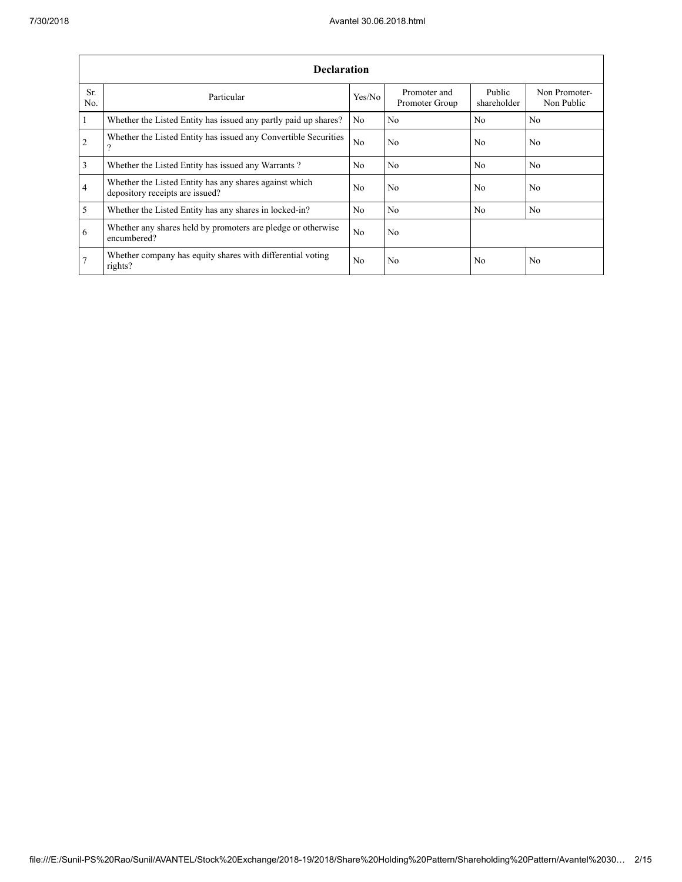|                | <b>Declaration</b>                                                                        |        |                                |                       |                             |  |  |  |  |  |
|----------------|-------------------------------------------------------------------------------------------|--------|--------------------------------|-----------------------|-----------------------------|--|--|--|--|--|
| Sr.<br>No.     | Particular                                                                                | Yes/No | Promoter and<br>Promoter Group | Public<br>shareholder | Non Promoter-<br>Non Public |  |  |  |  |  |
| $\mathbf{1}$   | Whether the Listed Entity has issued any partly paid up shares?                           | No     | No                             | No                    | No                          |  |  |  |  |  |
| <sup>2</sup>   | Whether the Listed Entity has issued any Convertible Securities<br>?                      | No.    | No                             | No.                   | No                          |  |  |  |  |  |
| $\overline{3}$ | Whether the Listed Entity has issued any Warrants?                                        | No     | No                             | N <sub>0</sub>        | N <sub>0</sub>              |  |  |  |  |  |
| $\overline{4}$ | Whether the Listed Entity has any shares against which<br>depository receipts are issued? | No.    | No                             | No.                   | N <sub>0</sub>              |  |  |  |  |  |
| $\overline{5}$ | Whether the Listed Entity has any shares in locked-in?                                    | No.    | N <sub>0</sub>                 | N <sub>0</sub>        | N <sub>0</sub>              |  |  |  |  |  |
| 6              | Whether any shares held by promoters are pledge or otherwise<br>encumbered?               | No.    | N <sub>0</sub>                 |                       |                             |  |  |  |  |  |
| 7              | Whether company has equity shares with differential voting<br>rights?                     | No     | No                             | No                    | No                          |  |  |  |  |  |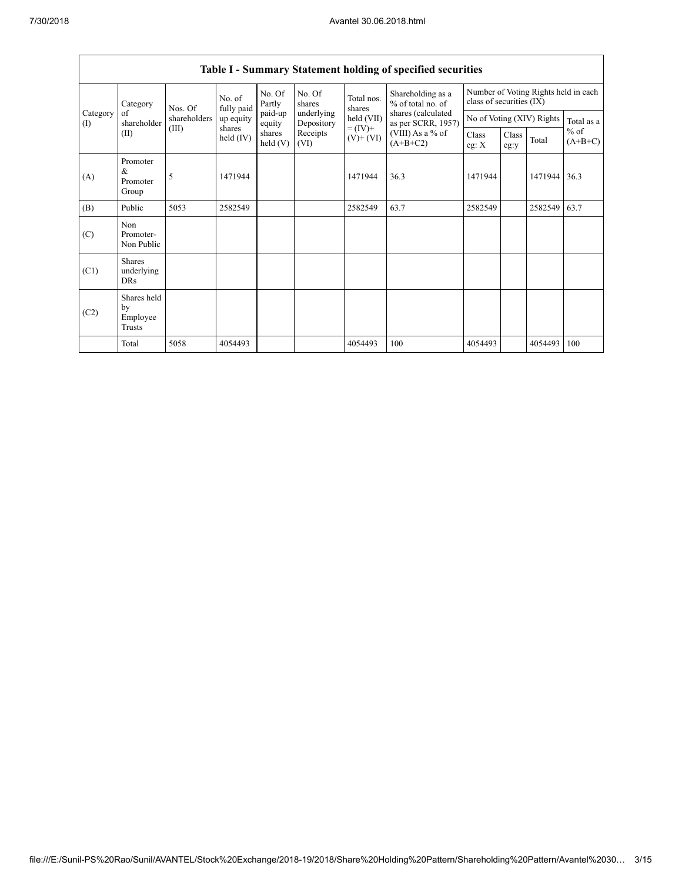| Category<br>Category<br>of<br>(I)<br>(II) |                                           | Nos. Of      | No. of<br>fully paid | No. Of<br>Partly<br>paid-up<br>equity<br>shares<br>held $(V)$ | No. Of<br>shares<br>underlying<br>Depository<br>Receipts<br>(VI) | Total nos.<br>shares<br>held (VII)<br>$= (IV) +$<br>$(V)+(VI)$ | Shareholding as a<br>% of total no. of   | Number of Voting Rights held in each<br>class of securities (IX) |               |         |                     |
|-------------------------------------------|-------------------------------------------|--------------|----------------------|---------------------------------------------------------------|------------------------------------------------------------------|----------------------------------------------------------------|------------------------------------------|------------------------------------------------------------------|---------------|---------|---------------------|
|                                           | shareholder                               | shareholders | up equity            |                                                               |                                                                  |                                                                | shares (calculated<br>as per SCRR, 1957) | No of Voting (XIV) Rights                                        |               |         | Total as a          |
|                                           |                                           | (III)        | shares<br>held (IV)  |                                                               |                                                                  |                                                                | (VIII) As a % of<br>$(A+B+C2)$           | Class<br>eg: X                                                   | Class<br>eg:y | Total   | $%$ of<br>$(A+B+C)$ |
| (A)                                       | Promoter<br>$\&$<br>Promoter<br>Group     | 5            | 1471944              |                                                               |                                                                  | 1471944                                                        | 36.3                                     | 1471944                                                          |               | 1471944 | 36.3                |
| (B)                                       | Public                                    | 5053         | 2582549              |                                                               |                                                                  | 2582549                                                        | 63.7                                     | 2582549                                                          |               | 2582549 | 63.7                |
| (C)                                       | Non<br>Promoter-<br>Non Public            |              |                      |                                                               |                                                                  |                                                                |                                          |                                                                  |               |         |                     |
| (C1)                                      | <b>Shares</b><br>underlying<br><b>DRs</b> |              |                      |                                                               |                                                                  |                                                                |                                          |                                                                  |               |         |                     |
| (C2)                                      | Shares held<br>by<br>Employee<br>Trusts   |              |                      |                                                               |                                                                  |                                                                |                                          |                                                                  |               |         |                     |
|                                           | Total                                     | 5058         | 4054493              |                                                               |                                                                  | 4054493                                                        | 100                                      | 4054493                                                          |               | 4054493 | 100                 |

## **Table I - Summary Statement holding of specified securities**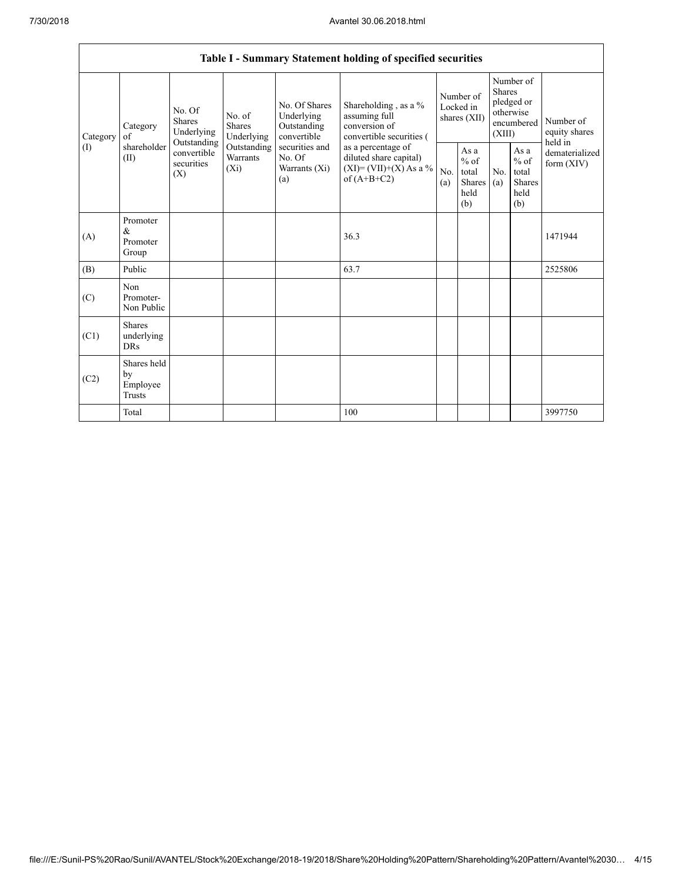|                                                                                                                                                                                                                                                                                                                                               | Table I - Summary Statement holding of specified securities                              |            |                                                  |            |                                                                                    |                                        |  |                                                                               |  |                                       |
|-----------------------------------------------------------------------------------------------------------------------------------------------------------------------------------------------------------------------------------------------------------------------------------------------------------------------------------------------|------------------------------------------------------------------------------------------|------------|--------------------------------------------------|------------|------------------------------------------------------------------------------------|----------------------------------------|--|-------------------------------------------------------------------------------|--|---------------------------------------|
| No. Of Shares<br>No. Of<br>Underlying<br>No. of<br><b>Shares</b><br>Shares<br>Category<br>Outstanding<br>Underlying<br>Underlying<br>convertible<br>Category<br>of<br>Outstanding<br>shareholder<br>securities and<br>Outstanding<br>(1)<br>convertible<br>Warrants<br>No. Of<br>(II)<br>securities<br>$(X_i)$<br>Warrants (Xi)<br>(X)<br>(a) |                                                                                          |            |                                                  |            | Shareholding, as a %<br>assuming full<br>conversion of<br>convertible securities ( | Number of<br>Locked in<br>shares (XII) |  | Number of<br><b>Shares</b><br>pledged or<br>otherwise<br>encumbered<br>(XIII) |  | Number of<br>equity shares<br>held in |
|                                                                                                                                                                                                                                                                                                                                               | as a percentage of<br>diluted share capital)<br>$(XI)=(VII)+(X) As a %$<br>of $(A+B+C2)$ | No.<br>(a) | As a<br>$%$ of<br>total<br>Shares<br>held<br>(b) | No.<br>(a) | As a<br>$%$ of<br>total<br><b>Shares</b><br>held<br>(b)                            | dematerialized<br>form $(XIV)$         |  |                                                                               |  |                                       |
| (A)                                                                                                                                                                                                                                                                                                                                           | Promoter<br>&<br>Promoter<br>Group                                                       |            |                                                  |            | 36.3                                                                               |                                        |  |                                                                               |  | 1471944                               |
| (B)                                                                                                                                                                                                                                                                                                                                           | Public                                                                                   |            |                                                  |            | 63.7                                                                               |                                        |  |                                                                               |  | 2525806                               |
| (C)                                                                                                                                                                                                                                                                                                                                           | Non<br>Promoter-<br>Non Public                                                           |            |                                                  |            |                                                                                    |                                        |  |                                                                               |  |                                       |
| (C1)                                                                                                                                                                                                                                                                                                                                          | <b>Shares</b><br>underlying<br><b>DRs</b>                                                |            |                                                  |            |                                                                                    |                                        |  |                                                                               |  |                                       |
| (C2)                                                                                                                                                                                                                                                                                                                                          | Shares held<br>by<br>Employee<br>Trusts                                                  |            |                                                  |            |                                                                                    |                                        |  |                                                                               |  |                                       |
|                                                                                                                                                                                                                                                                                                                                               | Total                                                                                    |            |                                                  |            | 100                                                                                |                                        |  |                                                                               |  | 3997750                               |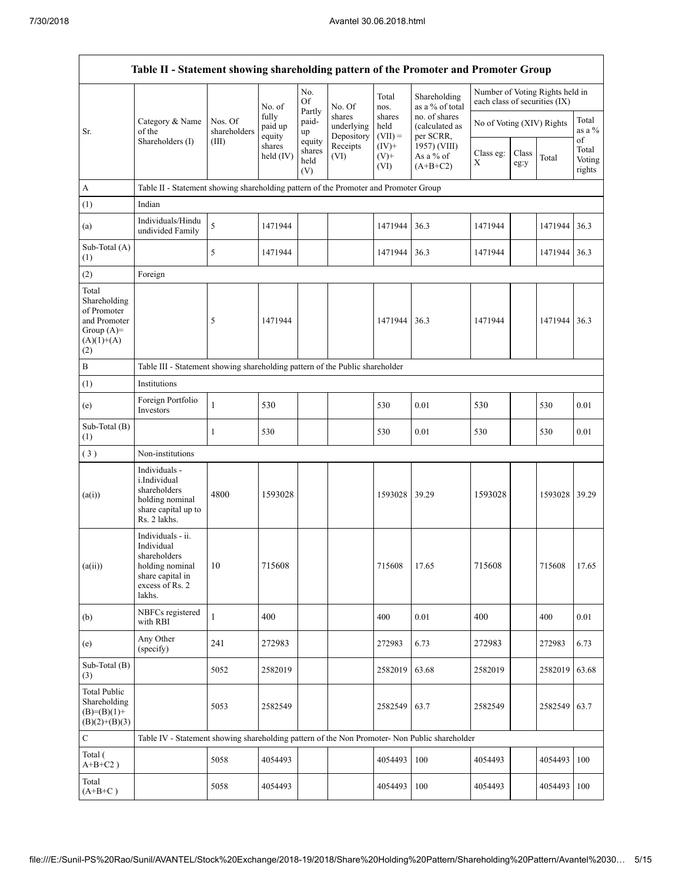|                                                                                             | Table II - Statement showing shareholding pattern of the Promoter and Promoter Group                                |                         |                            |                                 |                                    |                             |                                              |                               |               |                                 |                           |
|---------------------------------------------------------------------------------------------|---------------------------------------------------------------------------------------------------------------------|-------------------------|----------------------------|---------------------------------|------------------------------------|-----------------------------|----------------------------------------------|-------------------------------|---------------|---------------------------------|---------------------------|
|                                                                                             |                                                                                                                     |                         | No. of                     | No.<br>Of                       | No. Of                             | Total<br>nos.               | Shareholding<br>as a % of total              | each class of securities (IX) |               | Number of Voting Rights held in |                           |
| Sr.                                                                                         | Category & Name<br>of the                                                                                           | Nos. Of<br>shareholders | fully<br>paid up<br>equity | Partly<br>paid-<br>up           | shares<br>underlying<br>Depository | shares<br>held<br>$(VII) =$ | no. of shares<br>(calculated as<br>per SCRR, | No of Voting (XIV) Rights     |               |                                 | Total<br>as a %<br>of     |
|                                                                                             | Shareholders (I)                                                                                                    | (III)                   | shares<br>held $(IV)$      | equity<br>shares<br>held<br>(V) | Receipts<br>(VI)                   | $(IV)$ +<br>$(V)$ +<br>(VI) | 1957) (VIII)<br>As a % of<br>$(A+B+C2)$      | Class eg:<br>Χ                | Class<br>eg:y | Total                           | Total<br>Voting<br>rights |
| A                                                                                           | Table II - Statement showing shareholding pattern of the Promoter and Promoter Group                                |                         |                            |                                 |                                    |                             |                                              |                               |               |                                 |                           |
| (1)                                                                                         | Indian                                                                                                              |                         |                            |                                 |                                    |                             |                                              |                               |               |                                 |                           |
| (a)                                                                                         | Individuals/Hindu<br>undivided Family                                                                               | 5                       | 1471944                    |                                 |                                    | 1471944                     | 36.3                                         | 1471944                       |               | 1471944                         | 36.3                      |
| Sub-Total (A)<br>(1)                                                                        |                                                                                                                     | 5                       | 1471944                    |                                 |                                    | 1471944                     | 36.3                                         | 1471944                       |               | 1471944                         | 36.3                      |
| (2)                                                                                         | Foreign                                                                                                             |                         |                            |                                 |                                    |                             |                                              |                               |               |                                 |                           |
| Total<br>Shareholding<br>of Promoter<br>and Promoter<br>Group $(A)=$<br>$(A)(1)+(A)$<br>(2) |                                                                                                                     | 5                       | 1471944                    |                                 |                                    | 1471944                     | 36.3                                         | 1471944                       |               | 1471944                         | 36.3                      |
| B                                                                                           | Table III - Statement showing shareholding pattern of the Public shareholder                                        |                         |                            |                                 |                                    |                             |                                              |                               |               |                                 |                           |
| (1)                                                                                         | Institutions                                                                                                        |                         |                            |                                 |                                    |                             |                                              |                               |               |                                 |                           |
| (e)                                                                                         | Foreign Portfolio<br>Investors                                                                                      | $\mathbf{1}$            | 530                        |                                 |                                    | 530                         | 0.01                                         | 530                           |               | 530                             | 0.01                      |
| Sub-Total (B)<br>(1)                                                                        |                                                                                                                     | 1                       | 530                        |                                 |                                    | 530                         | 0.01                                         | 530                           |               | 530                             | 0.01                      |
| (3)                                                                                         | Non-institutions                                                                                                    |                         |                            |                                 |                                    |                             |                                              |                               |               |                                 |                           |
| (a(i))                                                                                      | Individuals -<br>i.Individual<br>shareholders<br>holding nominal<br>share capital up to<br>Rs. 2 lakhs.             | 4800                    | 1593028                    |                                 |                                    | 1593028                     | 39.29                                        | 1593028                       |               | 1593028                         | 39.29                     |
| (a(ii))                                                                                     | Individuals - ii.<br>Individual<br>shareholders<br>holding nominal<br>share capital in<br>excess of Rs. 2<br>lakhs. | $10\,$                  | 715608                     |                                 |                                    | 715608                      | 17.65                                        | 715608                        |               | 715608                          | 17.65                     |
| (b)                                                                                         | NBFCs registered<br>with RBI                                                                                        | 1                       | 400                        |                                 |                                    | 400                         | 0.01                                         | 400                           |               | 400                             | 0.01                      |
| (e)                                                                                         | Any Other<br>(specify)                                                                                              | 241                     | 272983                     |                                 |                                    | 272983                      | 6.73                                         | 272983                        |               | 272983                          | 6.73                      |
| Sub-Total (B)<br>(3)                                                                        |                                                                                                                     | 5052                    | 2582019                    |                                 |                                    | 2582019                     | 63.68                                        | 2582019                       |               | 2582019                         | 63.68                     |
| Total Public<br>Shareholding<br>$(B)=(B)(1)+$<br>$(B)(2)+(B)(3)$                            |                                                                                                                     | 5053                    | 2582549                    |                                 |                                    | 2582549                     | 63.7                                         | 2582549                       |               | 2582549                         | 63.7                      |
| $\mathbf C$                                                                                 | Table IV - Statement showing shareholding pattern of the Non Promoter- Non Public shareholder                       |                         |                            |                                 |                                    |                             |                                              |                               |               |                                 |                           |
| Total (<br>$A+B+C2$ )                                                                       |                                                                                                                     | 5058                    | 4054493                    |                                 |                                    | 4054493                     | 100                                          | 4054493                       |               | 4054493                         | 100                       |
| Total<br>$(A+B+C)$                                                                          |                                                                                                                     | 5058                    | 4054493                    |                                 |                                    | 4054493                     | 100                                          | 4054493                       |               | 4054493                         | 100                       |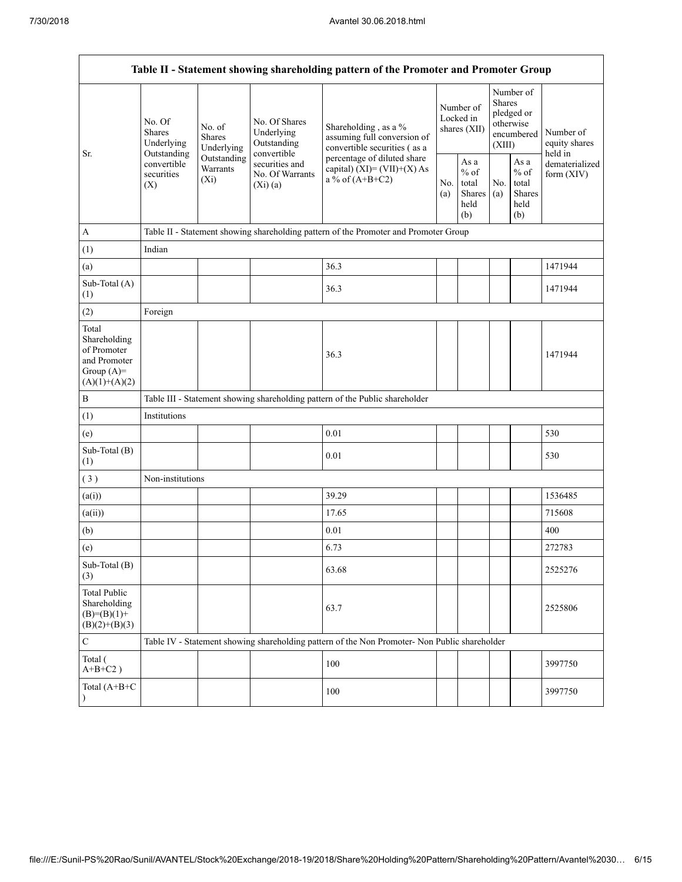| Table II - Statement showing shareholding pattern of the Promoter and Promoter Group    |                                                 |                                    |                                                                                                           |                                                                                               |            |                                                         |            |                                                                        |                                       |
|-----------------------------------------------------------------------------------------|-------------------------------------------------|------------------------------------|-----------------------------------------------------------------------------------------------------------|-----------------------------------------------------------------------------------------------|------------|---------------------------------------------------------|------------|------------------------------------------------------------------------|---------------------------------------|
| Sr.                                                                                     | No. Of<br>Shares<br>Underlying                  | No. of<br>Shares<br>Underlying     | No. Of Shares<br>Underlying<br>Outstanding<br>convertible<br>securities and<br>No. Of Warrants<br>(Xi)(a) | Shareholding, as a %<br>assuming full conversion of<br>convertible securities (as a           |            | Number of<br>Locked in<br>shares (XII)                  |            | Number of<br>Shares<br>pledged or<br>otherwise<br>encumbered<br>(XIII) | Number of<br>equity shares<br>held in |
|                                                                                         | Outstanding<br>convertible<br>securities<br>(X) | Outstanding<br>Warrants<br>$(X_i)$ |                                                                                                           | percentage of diluted share<br>capital) $(XI) = (VII)+(X) As$<br>a % of $(A+B+C2)$            | No.<br>(a) | As a<br>$%$ of<br>total<br><b>Shares</b><br>held<br>(b) | No.<br>(a) | As a<br>$%$ of<br>total<br>Shares<br>held<br>(b)                       | dematerialized<br>form $(XIV)$        |
| A                                                                                       |                                                 |                                    |                                                                                                           | Table II - Statement showing shareholding pattern of the Promoter and Promoter Group          |            |                                                         |            |                                                                        |                                       |
| (1)                                                                                     | Indian                                          |                                    |                                                                                                           |                                                                                               |            |                                                         |            |                                                                        |                                       |
| (a)                                                                                     |                                                 |                                    |                                                                                                           | 36.3                                                                                          |            |                                                         |            |                                                                        | 1471944                               |
| Sub-Total (A)<br>(1)                                                                    |                                                 |                                    |                                                                                                           | 36.3                                                                                          |            |                                                         |            |                                                                        | 1471944                               |
| (2)                                                                                     | Foreign                                         |                                    |                                                                                                           |                                                                                               |            |                                                         |            |                                                                        |                                       |
| Total<br>Shareholding<br>of Promoter<br>and Promoter<br>Group $(A)=$<br>$(A)(1)+(A)(2)$ |                                                 |                                    |                                                                                                           | 36.3                                                                                          |            |                                                         |            |                                                                        | 1471944                               |
| B                                                                                       |                                                 |                                    |                                                                                                           | Table III - Statement showing shareholding pattern of the Public shareholder                  |            |                                                         |            |                                                                        |                                       |
| (1)                                                                                     | Institutions                                    |                                    |                                                                                                           |                                                                                               |            |                                                         |            |                                                                        |                                       |
| (e)                                                                                     |                                                 |                                    |                                                                                                           | 0.01                                                                                          |            |                                                         |            |                                                                        | 530                                   |
| Sub-Total (B)<br>(1)                                                                    |                                                 |                                    |                                                                                                           | 0.01                                                                                          |            |                                                         |            |                                                                        | 530                                   |
| (3)                                                                                     | Non-institutions                                |                                    |                                                                                                           |                                                                                               |            |                                                         |            |                                                                        |                                       |
| (a(i))                                                                                  |                                                 |                                    |                                                                                                           | 39.29                                                                                         |            |                                                         |            |                                                                        | 1536485                               |
| (a(ii))                                                                                 |                                                 |                                    |                                                                                                           | 17.65                                                                                         |            |                                                         |            |                                                                        | 715608                                |
| (b)                                                                                     |                                                 |                                    |                                                                                                           | 0.01                                                                                          |            |                                                         |            |                                                                        | 400                                   |
| (e)                                                                                     |                                                 |                                    |                                                                                                           | 6.73                                                                                          |            |                                                         |            |                                                                        | 272783                                |
| Sub-Total (B)<br>(3)                                                                    |                                                 |                                    |                                                                                                           | 63.68                                                                                         |            |                                                         |            |                                                                        | 2525276                               |
| <b>Total Public</b><br>Shareholding<br>$(B)= (B)(1) +$<br>$(B)(2)+(B)(3)$               |                                                 |                                    |                                                                                                           | 63.7                                                                                          |            |                                                         |            |                                                                        | 2525806                               |
| $\mathbf C$                                                                             |                                                 |                                    |                                                                                                           | Table IV - Statement showing shareholding pattern of the Non Promoter- Non Public shareholder |            |                                                         |            |                                                                        |                                       |
| Total (<br>$A+B+C2$ )                                                                   |                                                 |                                    |                                                                                                           | 100                                                                                           |            |                                                         |            |                                                                        | 3997750                               |
| Total $(A+B+C)$                                                                         |                                                 |                                    |                                                                                                           | 100                                                                                           |            |                                                         |            |                                                                        | 3997750                               |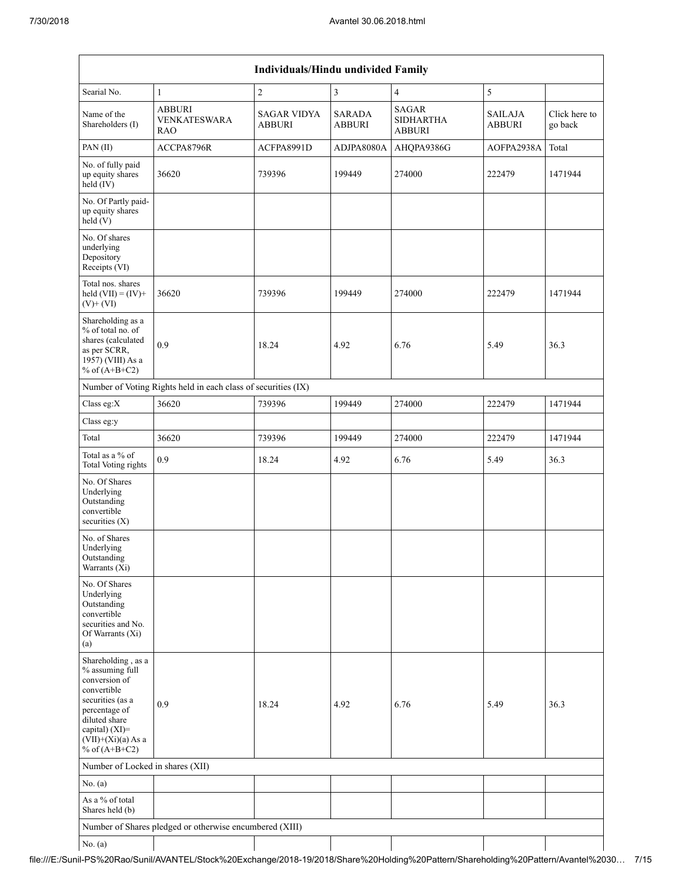|                                                                                                                                                                                             |                                                               | Individuals/Hindu undivided Family  |                                |                                            |                                 |                          |
|---------------------------------------------------------------------------------------------------------------------------------------------------------------------------------------------|---------------------------------------------------------------|-------------------------------------|--------------------------------|--------------------------------------------|---------------------------------|--------------------------|
| Searial No.                                                                                                                                                                                 | $\mathbf{1}$                                                  | $\sqrt{2}$                          | $\overline{3}$                 | $\overline{4}$                             | 5                               |                          |
| Name of the<br>Shareholders (I)                                                                                                                                                             | <b>ABBURI</b><br><b>VENKATESWARA</b><br>RAO                   | <b>SAGAR VIDYA</b><br><b>ABBURI</b> | <b>SARADA</b><br><b>ABBURI</b> | <b>SAGAR</b><br><b>SIDHARTHA</b><br>ABBURI | <b>SAILAJA</b><br><b>ABBURI</b> | Click here to<br>go back |
| PAN(II)                                                                                                                                                                                     | ACCPA8796R                                                    | ACFPA8991D                          | ADJPA8080A                     | AHQPA9386G                                 | AOFPA2938A                      | Total                    |
| No. of fully paid<br>up equity shares<br>held (IV)                                                                                                                                          | 36620                                                         | 739396                              | 199449                         | 274000                                     | 222479                          | 1471944                  |
| No. Of Partly paid-<br>up equity shares<br>held(V)                                                                                                                                          |                                                               |                                     |                                |                                            |                                 |                          |
| No. Of shares<br>underlying<br>Depository<br>Receipts (VI)                                                                                                                                  |                                                               |                                     |                                |                                            |                                 |                          |
| Total nos. shares<br>held $(VII) = (IV) +$<br>$(V)$ + $(VI)$                                                                                                                                | 36620                                                         | 739396                              | 199449                         | 274000                                     | 222479                          | 1471944                  |
| Shareholding as a<br>% of total no. of<br>shares (calculated<br>as per SCRR,<br>1957) (VIII) As a<br>% of $(A+B+C2)$                                                                        | 0.9                                                           | 18.24                               | 4.92                           | 6.76                                       | 5.49                            | 36.3                     |
|                                                                                                                                                                                             | Number of Voting Rights held in each class of securities (IX) |                                     |                                |                                            |                                 |                          |
| Class eg:X                                                                                                                                                                                  | 36620                                                         | 739396                              | 199449                         | 274000                                     | 222479                          | 1471944                  |
| Class eg:y                                                                                                                                                                                  |                                                               |                                     |                                |                                            |                                 |                          |
| Total                                                                                                                                                                                       | 36620                                                         | 739396                              | 199449                         | 274000                                     | 222479                          | 1471944                  |
| Total as a % of<br><b>Total Voting rights</b>                                                                                                                                               | 0.9                                                           | 18.24                               | 4.92                           | 6.76                                       | 5.49                            | 36.3                     |
| No. Of Shares<br>Underlying<br>Outstanding<br>convertible<br>securities $(X)$                                                                                                               |                                                               |                                     |                                |                                            |                                 |                          |
| No. of Shares<br>Underlying<br>Outstanding<br>Warrants (Xi)                                                                                                                                 |                                                               |                                     |                                |                                            |                                 |                          |
| No. Of Shares<br>Underlying<br>Outstanding<br>convertible<br>securities and No.<br>Of Warrants (Xi)<br>(a)                                                                                  |                                                               |                                     |                                |                                            |                                 |                          |
| Shareholding, as a<br>% assuming full<br>conversion of<br>convertible<br>securities (as a<br>percentage of<br>diluted share<br>capital) $(XI)$ =<br>$(VII)+(Xi)(a)$ As a<br>% of $(A+B+C2)$ | 0.9                                                           | 18.24                               | 4.92                           | 6.76                                       | 5.49                            | 36.3                     |
| Number of Locked in shares (XII)                                                                                                                                                            |                                                               |                                     |                                |                                            |                                 |                          |
| No. (a)                                                                                                                                                                                     |                                                               |                                     |                                |                                            |                                 |                          |
| As a % of total<br>Shares held (b)                                                                                                                                                          |                                                               |                                     |                                |                                            |                                 |                          |
|                                                                                                                                                                                             | Number of Shares pledged or otherwise encumbered (XIII)       |                                     |                                |                                            |                                 |                          |
| No. $(a)$                                                                                                                                                                                   |                                                               |                                     |                                |                                            |                                 |                          |

## file:///E:/Sunil-PS%20Rao/Sunil/AVANTEL/Stock%20Exchange/2018-19/2018/Share%20Holding%20Pattern/Shareholding%20Pattern/Avantel%2030… 7/15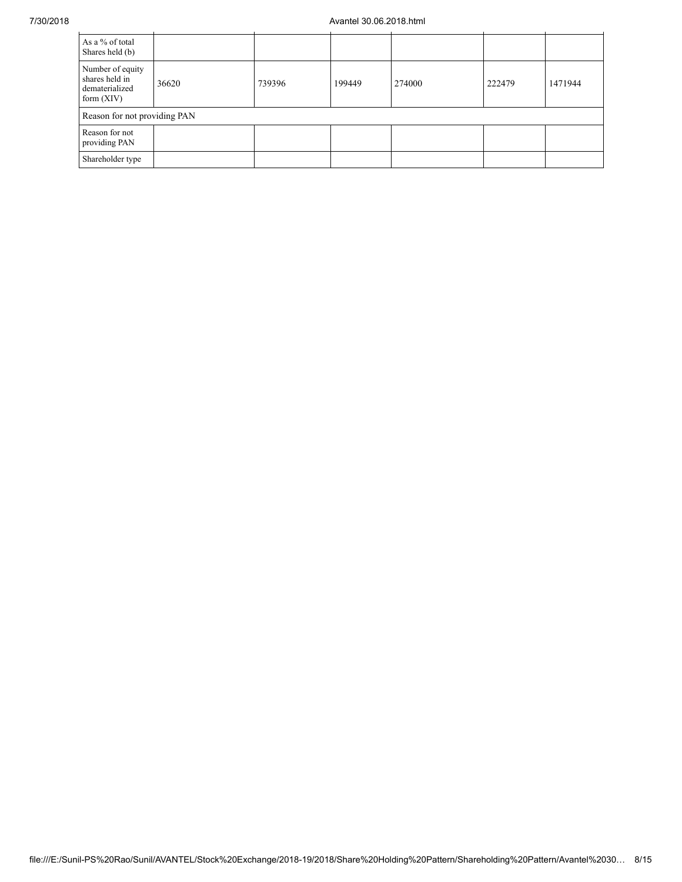## 7/30/2018 Avantel 30.06.2018.html

| As a % of total<br>Shares held (b)                                   |       |        |        |        |        |         |
|----------------------------------------------------------------------|-------|--------|--------|--------|--------|---------|
| Number of equity<br>shares held in<br>dematerialized<br>form $(XIV)$ | 36620 | 739396 | 199449 | 274000 | 222479 | 1471944 |
| Reason for not providing PAN                                         |       |        |        |        |        |         |
| Reason for not<br>providing PAN                                      |       |        |        |        |        |         |
| Shareholder type                                                     |       |        |        |        |        |         |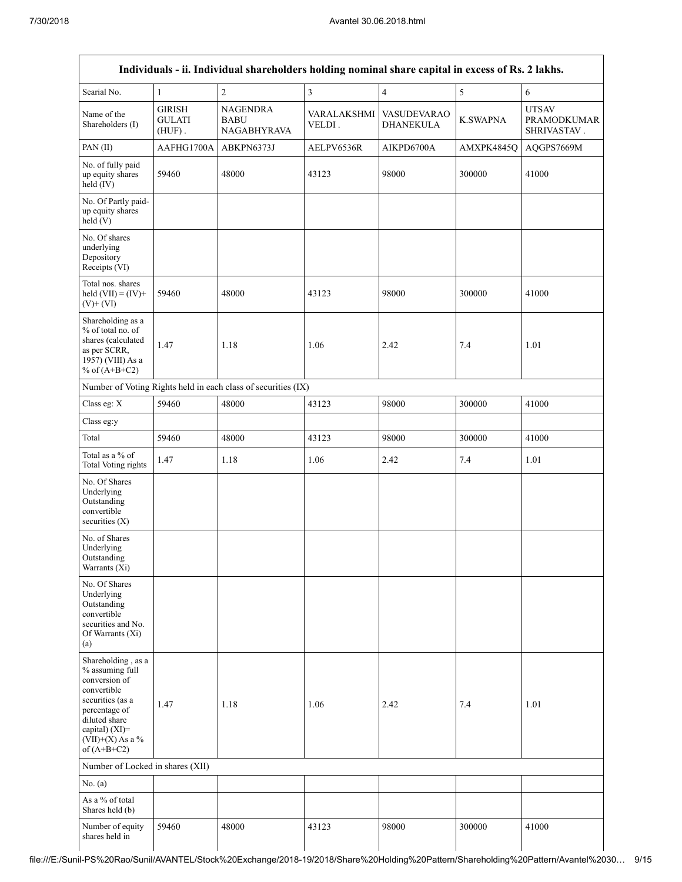|                                                                                                                                                                                      |                                             | Individuals - ii. Individual shareholders holding nominal share capital in excess of Rs. 2 lakhs. |                       |                                        |                 |                                                   |
|--------------------------------------------------------------------------------------------------------------------------------------------------------------------------------------|---------------------------------------------|---------------------------------------------------------------------------------------------------|-----------------------|----------------------------------------|-----------------|---------------------------------------------------|
| Searial No.                                                                                                                                                                          | $\mathbf{1}$                                | $\overline{c}$                                                                                    | $\overline{3}$        | $\overline{\mathbf{4}}$                | 5               | 6                                                 |
| Name of the<br>Shareholders (I)                                                                                                                                                      | <b>GIRISH</b><br><b>GULATI</b><br>$(HUF)$ . | NAGENDRA<br>BABU<br><b>NAGABHYRAVA</b>                                                            | VARALAKSHMI<br>VELDI. | <b>VASUDEVARAO</b><br><b>DHANEKULA</b> | <b>K.SWAPNA</b> | <b>UTSAV</b><br><b>PRAMODKUMAR</b><br>SHRIVASTAV. |
| PAN(II)                                                                                                                                                                              | AAFHG1700A                                  | ABKPN6373J                                                                                        | AELPV6536R            | AIKPD6700A                             | AMXPK4845Q      | AQGPS7669M                                        |
| No. of fully paid<br>up equity shares<br>held (IV)                                                                                                                                   | 59460                                       | 48000                                                                                             | 43123                 | 98000                                  | 300000          | 41000                                             |
| No. Of Partly paid-<br>up equity shares<br>held(V)                                                                                                                                   |                                             |                                                                                                   |                       |                                        |                 |                                                   |
| No. Of shares<br>underlying<br>Depository<br>Receipts (VI)                                                                                                                           |                                             |                                                                                                   |                       |                                        |                 |                                                   |
| Total nos. shares<br>held $(VII) = (IV) +$<br>$(V)$ + $(VI)$                                                                                                                         | 59460                                       | 48000                                                                                             | 43123                 | 98000                                  | 300000          | 41000                                             |
| Shareholding as a<br>% of total no. of<br>shares (calculated<br>as per SCRR,<br>1957) (VIII) As a<br>% of $(A+B+C2)$                                                                 | 1.47                                        | 1.18                                                                                              | 1.06                  | 2.42                                   | 7.4             | 1.01                                              |
|                                                                                                                                                                                      |                                             | Number of Voting Rights held in each class of securities (IX)                                     |                       |                                        |                 |                                                   |
| Class eg: X                                                                                                                                                                          | 59460                                       | 48000                                                                                             | 43123                 | 98000                                  | 300000          | 41000                                             |
| Class eg:y                                                                                                                                                                           |                                             |                                                                                                   |                       |                                        |                 |                                                   |
| Total                                                                                                                                                                                | 59460                                       | 48000                                                                                             | 43123                 | 98000                                  | 300000          | 41000                                             |
| Total as a % of<br>Total Voting rights                                                                                                                                               | 1.47                                        | 1.18                                                                                              | 1.06                  | 2.42                                   | 7.4             | 1.01                                              |
| No. Of Shares<br>Underlying<br>Outstanding<br>convertible<br>securities $(X)$                                                                                                        |                                             |                                                                                                   |                       |                                        |                 |                                                   |
| No. of Shares<br>Underlying<br>Outstanding<br>Warrants (Xi)                                                                                                                          |                                             |                                                                                                   |                       |                                        |                 |                                                   |
| No. Of Shares<br>Underlying<br>Outstanding<br>convertible<br>securities and No.<br>Of Warrants (Xi)<br>(a)                                                                           |                                             |                                                                                                   |                       |                                        |                 |                                                   |
| Shareholding, as a<br>% assuming full<br>conversion of<br>convertible<br>securities (as a<br>percentage of<br>diluted share<br>capital) (XI)=<br>$(VII)+(X)$ As a %<br>of $(A+B+C2)$ | 1.47                                        | 1.18                                                                                              | 1.06                  | 2.42                                   | 7.4             | 1.01                                              |
| Number of Locked in shares (XII)                                                                                                                                                     |                                             |                                                                                                   |                       |                                        |                 |                                                   |
| No. (a)                                                                                                                                                                              |                                             |                                                                                                   |                       |                                        |                 |                                                   |
| As a % of total<br>Shares held (b)                                                                                                                                                   |                                             |                                                                                                   |                       |                                        |                 |                                                   |
| Number of equity<br>shares held in                                                                                                                                                   | 59460                                       | 48000                                                                                             | 43123                 | 98000                                  | 300000          | 41000                                             |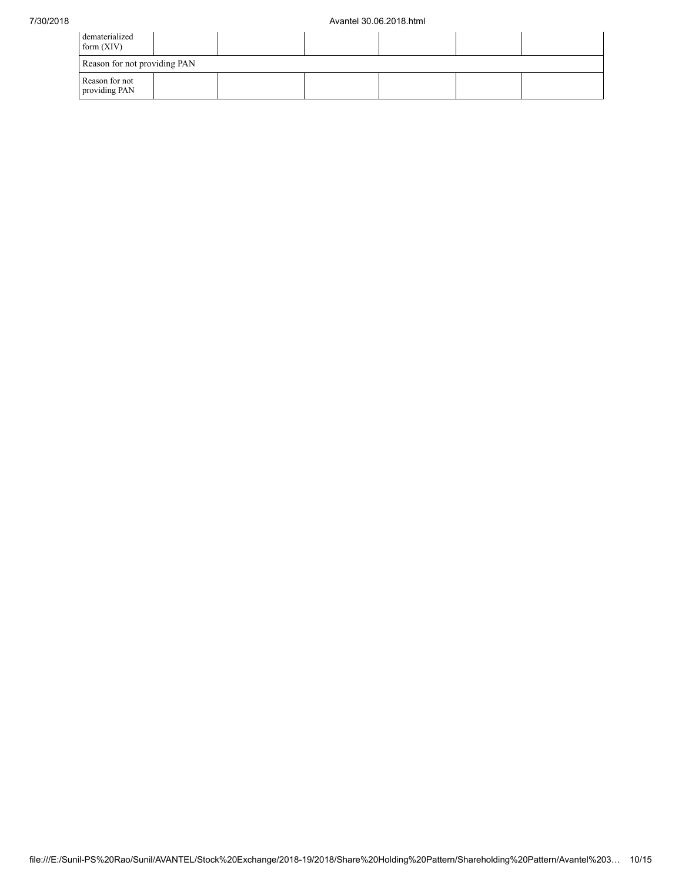| dematerialized<br>form $(XIV)$  |  |  |  |  |  |  |  |  |
|---------------------------------|--|--|--|--|--|--|--|--|
| Reason for not providing PAN    |  |  |  |  |  |  |  |  |
| Reason for not<br>providing PAN |  |  |  |  |  |  |  |  |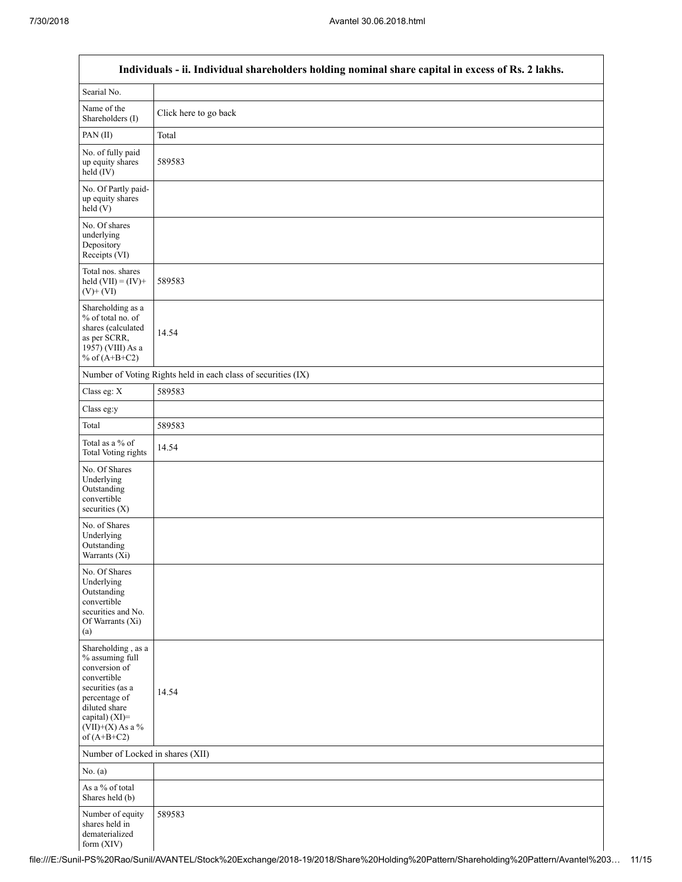|                                                                                                                                                                                      | Individuals - ii. Individual shareholders holding nominal share capital in excess of Rs. 2 lakhs. |
|--------------------------------------------------------------------------------------------------------------------------------------------------------------------------------------|---------------------------------------------------------------------------------------------------|
| Searial No.                                                                                                                                                                          |                                                                                                   |
| Name of the<br>Shareholders (I)                                                                                                                                                      | Click here to go back                                                                             |
| PAN(II)                                                                                                                                                                              | Total                                                                                             |
| No. of fully paid<br>up equity shares<br>$held$ (IV)                                                                                                                                 | 589583                                                                                            |
| No. Of Partly paid-<br>up equity shares<br>held(V)                                                                                                                                   |                                                                                                   |
| No. Of shares<br>underlying<br>Depository<br>Receipts (VI)                                                                                                                           |                                                                                                   |
| Total nos. shares<br>held $(VII) = (IV) +$<br>$(V)$ + $(VI)$                                                                                                                         | 589583                                                                                            |
| Shareholding as a<br>% of total no. of<br>shares (calculated<br>as per SCRR,<br>1957) (VIII) As a<br>% of $(A+B+C2)$                                                                 | 14.54                                                                                             |
|                                                                                                                                                                                      | Number of Voting Rights held in each class of securities (IX)                                     |
| Class eg: X                                                                                                                                                                          | 589583                                                                                            |
| Class eg:y                                                                                                                                                                           |                                                                                                   |
| Total                                                                                                                                                                                | 589583                                                                                            |
| Total as a % of<br><b>Total Voting rights</b>                                                                                                                                        | 14.54                                                                                             |
| No. Of Shares<br>Underlying<br>Outstanding<br>convertible<br>securities $(X)$                                                                                                        |                                                                                                   |
| No. of Shares<br>Underlying<br>Outstanding<br>Warrants (Xi)                                                                                                                          |                                                                                                   |
| No. Of Shares<br>Underlying<br>Outstanding<br>convertible<br>securities and No.<br>Of Warrants (Xi)<br>(a)                                                                           |                                                                                                   |
| Shareholding, as a<br>% assuming full<br>conversion of<br>convertible<br>securities (as a<br>percentage of<br>diluted share<br>capital) (XI)=<br>$(VII)+(X)$ As a %<br>of $(A+B+C2)$ | 14.54                                                                                             |
| Number of Locked in shares (XII)                                                                                                                                                     |                                                                                                   |
| No. $(a)$                                                                                                                                                                            |                                                                                                   |
| As a % of total<br>Shares held (b)                                                                                                                                                   |                                                                                                   |
| Number of equity<br>shares held in<br>dematerialized<br>form (XIV)                                                                                                                   | 589583                                                                                            |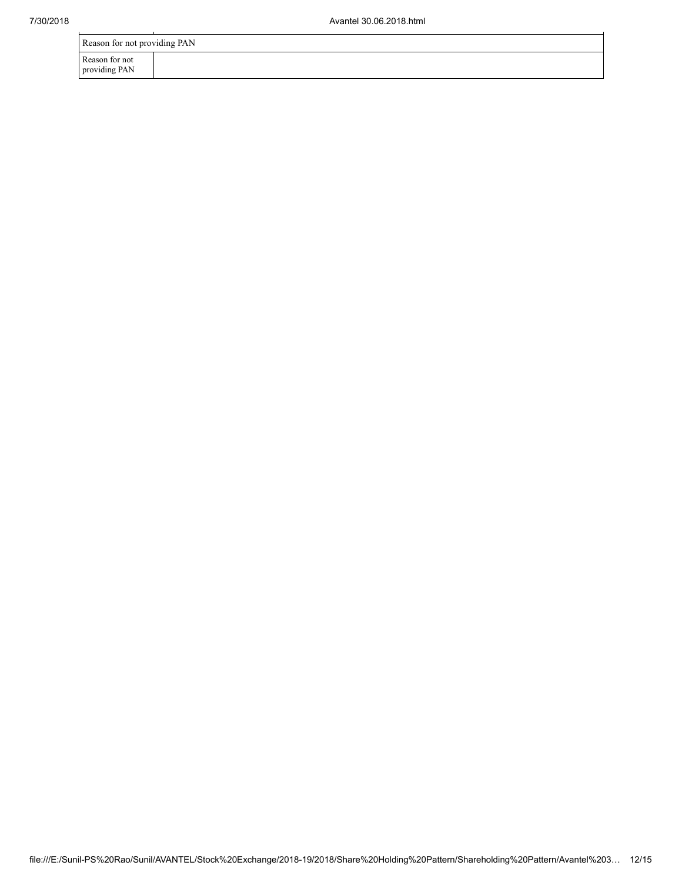|                                 | Reason for not providing PAN |  |  |  |  |  |
|---------------------------------|------------------------------|--|--|--|--|--|
| Reason for not<br>providing PAN |                              |  |  |  |  |  |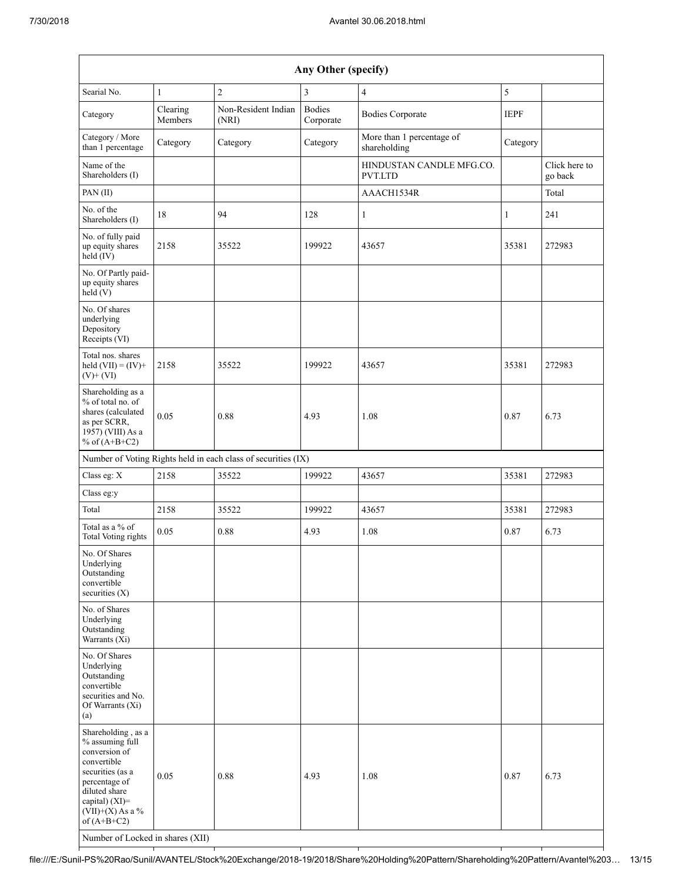| Any Other (specify)                                                                                                                                                                                                      |                                                               |                              |                            |                                           |              |                          |  |  |  |  |
|--------------------------------------------------------------------------------------------------------------------------------------------------------------------------------------------------------------------------|---------------------------------------------------------------|------------------------------|----------------------------|-------------------------------------------|--------------|--------------------------|--|--|--|--|
| Searial No.                                                                                                                                                                                                              | $\mathbf{1}$                                                  | $\overline{2}$               | 3                          | $\overline{4}$                            | 5            |                          |  |  |  |  |
| Category                                                                                                                                                                                                                 | Clearing<br>Members                                           | Non-Resident Indian<br>(NRI) | <b>Bodies</b><br>Corporate | <b>Bodies Corporate</b>                   | <b>IEPF</b>  |                          |  |  |  |  |
| Category / More<br>than 1 percentage                                                                                                                                                                                     | Category                                                      | Category                     | Category                   | More than 1 percentage of<br>shareholding | Category     |                          |  |  |  |  |
| Name of the<br>Shareholders (I)                                                                                                                                                                                          |                                                               |                              |                            | HINDUSTAN CANDLE MFG.CO.<br>PVT.LTD       |              | Click here to<br>go back |  |  |  |  |
| PAN(II)                                                                                                                                                                                                                  |                                                               |                              |                            | AAACH1534R                                |              | Total                    |  |  |  |  |
| No. of the<br>Shareholders (I)                                                                                                                                                                                           | 18                                                            | 94                           | 128                        | 1                                         | $\mathbf{1}$ | 241                      |  |  |  |  |
| No. of fully paid<br>up equity shares<br>held (IV)                                                                                                                                                                       | 2158                                                          | 35522                        | 199922                     | 43657                                     | 35381        | 272983                   |  |  |  |  |
| No. Of Partly paid-<br>up equity shares<br>held (V)                                                                                                                                                                      |                                                               |                              |                            |                                           |              |                          |  |  |  |  |
| No. Of shares<br>underlying<br>Depository<br>Receipts (VI)                                                                                                                                                               |                                                               |                              |                            |                                           |              |                          |  |  |  |  |
| Total nos. shares<br>held $(VII) = (IV) +$<br>$(V)$ + $(VI)$                                                                                                                                                             | 2158                                                          | 35522                        | 199922                     | 43657                                     | 35381        | 272983                   |  |  |  |  |
| Shareholding as a<br>% of total no. of<br>shares (calculated<br>as per SCRR,<br>1957) (VIII) As a<br>% of $(A+B+C2)$                                                                                                     | 0.05                                                          | 0.88                         | 4.93                       | 1.08                                      | 0.87         | 6.73                     |  |  |  |  |
|                                                                                                                                                                                                                          | Number of Voting Rights held in each class of securities (IX) |                              |                            |                                           |              |                          |  |  |  |  |
| Class eg: X                                                                                                                                                                                                              | 2158                                                          | 35522                        | 199922                     | 43657                                     | 35381        | 272983                   |  |  |  |  |
| Class eg:y                                                                                                                                                                                                               |                                                               |                              |                            |                                           |              |                          |  |  |  |  |
| Total                                                                                                                                                                                                                    | 2158                                                          | 35522                        | 199922                     | 43657                                     | 35381        | 272983                   |  |  |  |  |
| Total as a % of<br>Total Voting rights                                                                                                                                                                                   | 0.05                                                          | 0.88                         | 4.93                       | 1.08                                      | 0.87         | 6.73                     |  |  |  |  |
| No. Of Shares<br>Underlying<br>Outstanding<br>convertible<br>securities (X)                                                                                                                                              |                                                               |                              |                            |                                           |              |                          |  |  |  |  |
| No. of Shares<br>Underlying<br>Outstanding<br>Warrants $(X_i)$                                                                                                                                                           |                                                               |                              |                            |                                           |              |                          |  |  |  |  |
| No. Of Shares<br>Underlying<br>Outstanding<br>convertible<br>securities and No.<br>Of Warrants (Xi)<br>(a)                                                                                                               |                                                               |                              |                            |                                           |              |                          |  |  |  |  |
| Shareholding, as a<br>% assuming full<br>conversion of<br>convertible<br>securities (as a<br>percentage of<br>diluted share<br>capital) (XI)=<br>$(VII)+(X)$ As a %<br>of $(A+B+C2)$<br>Number of Locked in shares (XII) | 0.05                                                          | 0.88                         | 4.93                       | 1.08                                      | 0.87         | 6.73                     |  |  |  |  |